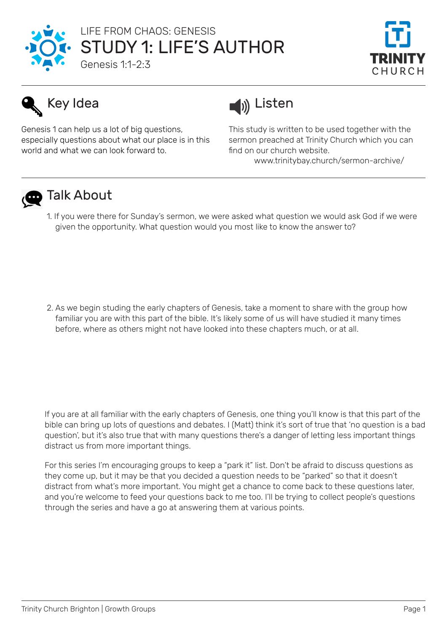

## STUDY 1: LIFE'S AUTHOR Genesis 1:1-2:3 LIFE FROM CHAOS: GENESIS



Genesis 1 can help us a lot of big questions, especially questions about what our place is in this world and what we can look forward to.



This study is written to be used together with the sermon preached at Trinity Church which you can find on our church website.

www.trinitybay.church/sermon-archive/



# **D** Talk About

1. If you were there for Sunday's sermon, we were asked what question we would ask God if we were given the opportunity. What question would you most like to know the answer to?

2. As we begin studing the early chapters of Genesis, take a moment to share with the group how familiar you are with this part of the bible. It's likely some of us will have studied it many times before, where as others might not have looked into these chapters much, or at all.

If you are at all familiar with the early chapters of Genesis, one thing you'll know is that this part of the bible can bring up lots of questions and debates. I (Matt) think it's sort of true that 'no question is a bad question', but it's also true that with many questions there's a danger of letting less important things distract us from more important things.

For this series I'm encouraging groups to keep a "park it" list. Don't be afraid to discuss questions as they come up, but it may be that you decided a question needs to be "parked" so that it doesn't distract from what's more important. You might get a chance to come back to these questions later, and you're welcome to feed your questions back to me too. I'll be trying to collect people's questions through the series and have a go at answering them at various points.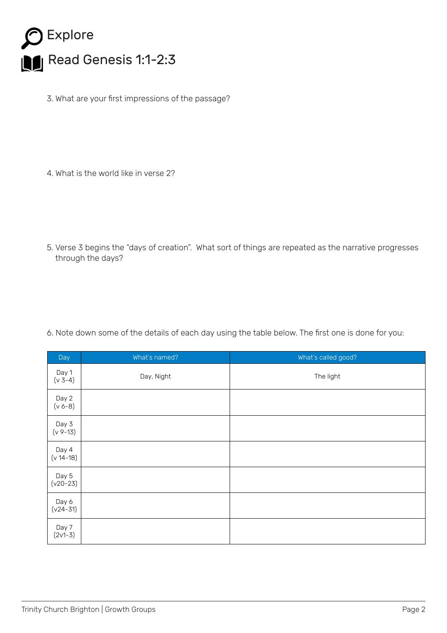

3. What are your first impressions of the passage?

4. What is the world like in verse 2?

5. Verse 3 begins the "days of creation". What sort of things are repeated as the narrative progresses through the days?

6. Note down some of the details of each day using the table below. The first one is done for you:

| Day                    | What's named? | What's called good? |
|------------------------|---------------|---------------------|
| Day 1<br>$(v 3-4)$     | Day, Night    | The light           |
| Day 2<br>$(v 6-8)$     |               |                     |
| Day 3<br>$(v 9-13)$    |               |                     |
| Day 4<br>$(v 14 - 18)$ |               |                     |
| Day 5<br>$(v20-23)$    |               |                     |
| Day 6<br>$(v24 - 31)$  |               |                     |
| Day 7<br>$(2v1-3)$     |               |                     |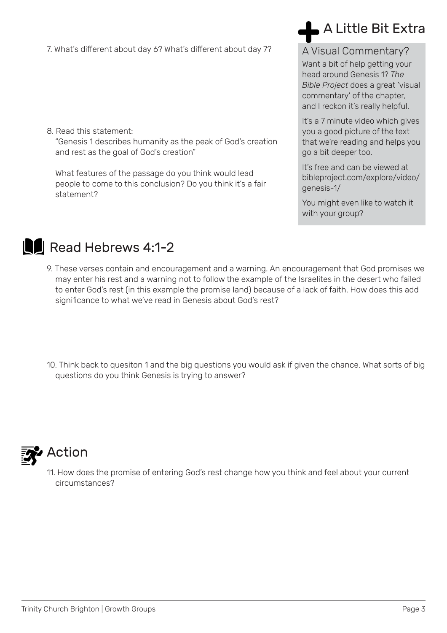7. What's different about day 6? What's different about day 7?

8. Read this statement: "Genesis 1 describes humanity as the peak of God's creation and rest as the goal of God's creation"

What features of the passage do you think would lead people to come to this conclusion? Do you think it's a fair statement?

# A Little Bit Extra

#### A Visual Commentary?

Want a bit of help getting your head around Genesis 1? *The Bible Project* does a great 'visual commentary' of the chapter, and I reckon it's really helpful.

It's a 7 minute video which gives you a good picture of the text that we're reading and helps you go a bit deeper too.

It's free and can be viewed at bibleproject.com/explore/video/ genesis-1/

You might even like to watch it with your group?



# Read Hebrews 4:1-2

9. These verses contain and encouragement and a warning. An encouragement that God promises we may enter his rest and a warning not to follow the example of the Israelites in the desert who failed to enter God's rest (in this example the promise land) because of a lack of faith. How does this add significance to what we've read in Genesis about God's rest?

10. Think back to quesiton 1 and the big questions you would ask if given the chance. What sorts of big questions do you think Genesis is trying to answer?



## **Action**

11. How does the promise of entering God's rest change how you think and feel about your current circumstances?